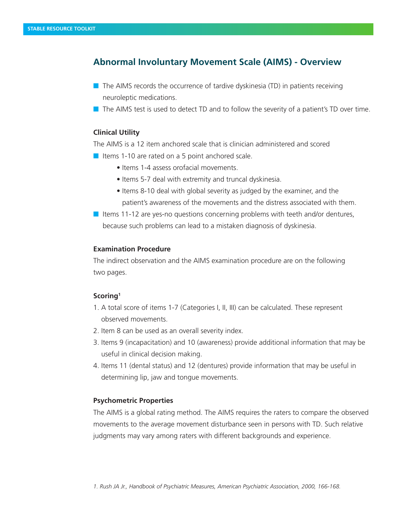# **Abnormal Involuntary Movement Scale (AIMS) - Overview**

- $\blacksquare$  The AIMS records the occurrence of tardive dyskinesia (TD) in patients receiving neuroleptic medications.
- $\blacksquare$  The AIMS test is used to detect TD and to follow the severity of a patient's TD over time.

## **Clinical Utility**

The AIMS is a 12 item anchored scale that is clinician administered and scored

- $\blacksquare$  Items 1-10 are rated on a 5 point anchored scale.
	- Items 1-4 assess orofacial movements.
	- Items 5-7 deal with extremity and truncal dyskinesia.
	- Items 8-10 deal with global severity as judged by the examiner, and the patient's awareness of the movements and the distress associated with them.
- If Items 11-12 are yes-no questions concerning problems with teeth and/or dentures, because such problems can lead to a mistaken diagnosis of dyskinesia.

#### **Examination Procedure**

The indirect observation and the AIMS examination procedure are on the following two pages.

### **Scoring1**

- 1. A total score of items 1-7 (Categories I, II, III) can be calculated. These represent observed movements.
- 2. Item 8 can be used as an overall severity index.
- 3. Items 9 (incapacitation) and 10 (awareness) provide additional information that may be useful in clinical decision making.
- 4. Items 11 (dental status) and 12 (dentures) provide information that may be useful in determining lip, jaw and tongue movements.

#### **Psychometric Properties**

The AIMS is a global rating method. The AIMS requires the raters to compare the observed movements to the average movement disturbance seen in persons with TD. Such relative judgments may vary among raters with different backgrounds and experience.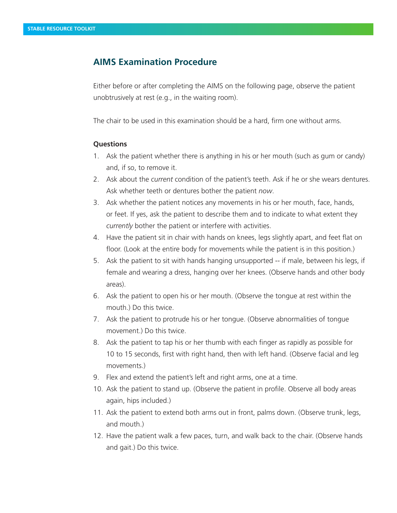## **AIMS Examination Procedure**

Either before or after completing the AIMS on the following page, observe the patient unobtrusively at rest (e.g., in the waiting room).

The chair to be used in this examination should be a hard, firm one without arms.

#### **Questions**

- 1. Ask the patient whether there is anything in his or her mouth (such as gum or candy) and, if so, to remove it.
- 2. Ask about the *current* condition of the patient's teeth. Ask if he or she wears dentures. Ask whether teeth or dentures bother the patient *now*.
- 3. Ask whether the patient notices any movements in his or her mouth, face, hands, or feet. If yes, ask the patient to describe them and to indicate to what extent they *currently* bother the patient or interfere with activities.
- 4. Have the patient sit in chair with hands on knees, legs slightly apart, and feet flat on floor. (Look at the entire body for movements while the patient is in this position.)
- 5. Ask the patient to sit with hands hanging unsupported -- if male, between his legs, if female and wearing a dress, hanging over her knees. (Observe hands and other body areas).
- 6. Ask the patient to open his or her mouth. (Observe the tongue at rest within the mouth.) Do this twice.
- 7. Ask the patient to protrude his or her tongue. (Observe abnormalities of tongue movement.) Do this twice.
- 8. Ask the patient to tap his or her thumb with each finger as rapidly as possible for 10 to 15 seconds, first with right hand, then with left hand. (Observe facial and leg movements.)
- 9. Flex and extend the patient's left and right arms, one at a time.
- 10. Ask the patient to stand up. (Observe the patient in profile. Observe all body areas again, hips included.)
- 11. Ask the patient to extend both arms out in front, palms down. (Observe trunk, legs, and mouth.)
- 12. Have the patient walk a few paces, turn, and walk back to the chair. (Observe hands and gait.) Do this twice.